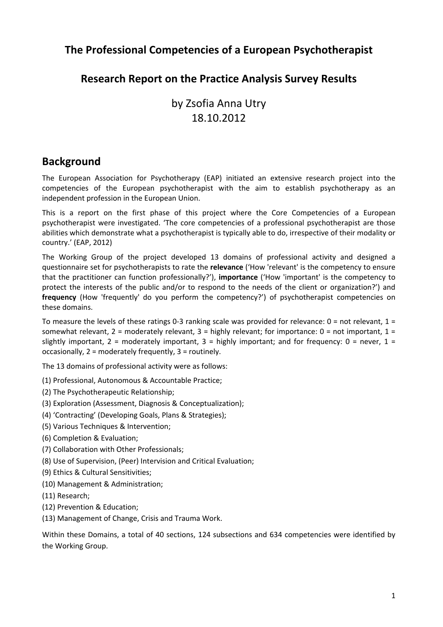## **The Professional Competencies of a European Psychotherapist**

## **Research Report on the Practice Analysis Survey Results**

# by Zsofia Anna Utry 18.10.2012

## **Background**

The European Association for Psychotherapy (EAP) initiated an extensive research project into the competencies of the European psychotherapist with the aim to establish psychotherapy as an independent profession in the European Union.

This is a report on the first phase of this project where the Core Competencies of a European psychotherapist were investigated. 'The core competencies of a professional psychotherapist are those abilities which demonstrate what a psychotherapist is typically able to do, irrespective of their modality or country.' (EAP, 2012)

The Working Group of the project developed 13 domains of professional activity and designed a questionnaire set for psychotherapists to rate the **relevance** ('How 'relevant' is the competency to ensure that the practitioner can function professionally?'), **importance** ('How 'important' is the competency to protect the interests of the public and/or to respond to the needs of the client or organization?') and **frequency** (How 'frequently' do you perform the competency?') of psychotherapist competencies on these domains.

To measure the levels of these ratings 0-3 ranking scale was provided for relevance:  $0 =$  not relevant,  $1 =$ somewhat relevant,  $2 =$  moderately relevant,  $3 =$  highly relevant; for importance:  $0 =$  not important,  $1 =$ slightly important,  $2 =$  moderately important,  $3 =$  highly important; and for frequency:  $0 =$  never,  $1 =$ occasionally, 2 = moderately frequently, 3 = routinely.

The 13 domains of professional activity were as follows:

- (1) Professional, Autonomous & Accountable Practice;
- (2) The Psychotherapeutic Relationship;
- (3) Exploration (Assessment, Diagnosis & Conceptualization);
- (4) 'Contracting' (Developing Goals, Plans & Strategies);
- (5) Various Techniques & Intervention;
- (6) Completion & Evaluation;
- (7) Collaboration with Other Professionals;
- (8) Use of Supervision, (Peer) Intervision and Critical Evaluation;
- (9) Ethics & Cultural Sensitivities;
- (10) Management & Administration;
- (11) Research;
- (12) Prevention & Education;
- (13) Management of Change, Crisis and Trauma Work.

Within these Domains, a total of 40 sections, 124 subsections and 634 competencies were identified by the Working Group.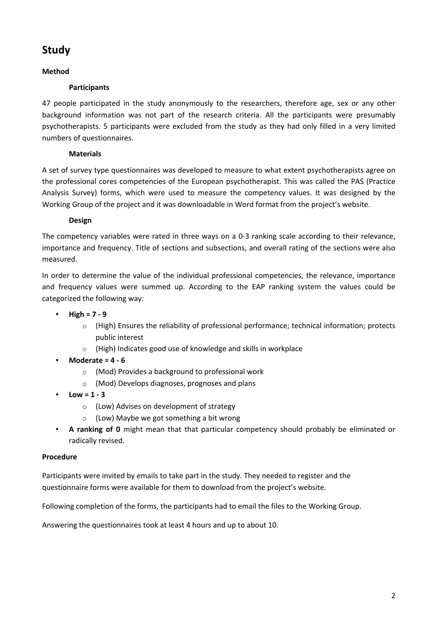## **Study**

### **Method**

### **Participants**

47 people participated in the study anonymously to the researchers, therefore age, sex or any other background information was not part of the research criteria. All the participants were presumably psychotherapists. 5 participants were excluded from the study as they had only filled in a very limited numbers of questionnaires.

### **Materials**

A set of survey type questionnaires was developed to measure to what extent psychotherapists agree on the professional cores competencies of the European psychotherapist. This was called the PAS (Practice Analysis Survey) forms, which were used to measure the competency values. It was designed by the Working Group of the project and it was downloadable in Word format from the project's website.

### **Design**

The competency variables were rated in three ways on a 0‐3 ranking scale according to their relevance, importance and frequency. Title of sections and subsections, and overall rating of the sections were also measured.

In order to determine the value of the individual professional competencies, the relevance, importance and frequency values were summed up. According to the EAP ranking system the values could be categorized the following way:

- **High = 7 ‐ 9**
	- $\circ$  (High) Ensures the reliability of professional performance; technical information; protects public interest
	- o (High) Indicates good use of knowledge and skills in workplace
- **Moderate = 4 ‐ 6**
	- o (Mod) Provides a background to professional work
	- o (Mod) Develops diagnoses, prognoses and plans
- **Low = 1 3** 
	- o (Low) Advises on development of strategy
	- o (Low) Maybe we got something a bit wrong
- **A ranking of 0**  might mean that that particular competency should probably be eliminated or radically revised.

#### **Procedure**

Participants were invited by emails to take part in the study. They needed to register and the questionnaire forms were available for them to download from the project's website.

Following completion of the forms, the participants had to email the files to the Working Group.

Answering the questionnaires took at least 4 hours and up to about 10.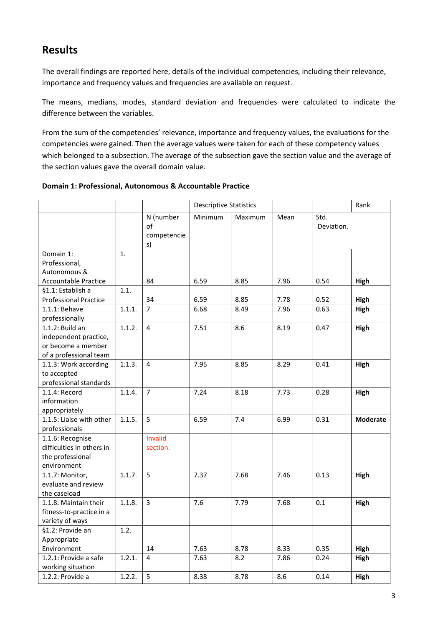## **Results**

The overall findings are reported here, details of the individual competencies, including their relevance, importance and frequency values and frequencies are available on request.

The means, medians, modes, standard deviation and frequencies were calculated to indicate the difference between the variables.

From the sum of the competencies' relevance, importance and frequency values, the evaluations for the competencies were gained. Then the average values were taken for each of these competency values which belonged to a subsection. The average of the subsection gave the section value and the average of the section values gave the overall domain value.

|                                                                                             |        |                                      | <b>Descriptive Statistics</b> |         |      |                    | Rank            |
|---------------------------------------------------------------------------------------------|--------|--------------------------------------|-------------------------------|---------|------|--------------------|-----------------|
|                                                                                             |        | N (number<br>of<br>competencie<br>s) | Minimum                       | Maximum | Mean | Std.<br>Deviation. |                 |
| Domain 1:                                                                                   | 1.     |                                      |                               |         |      |                    |                 |
| Professional,                                                                               |        |                                      |                               |         |      |                    |                 |
| Autonomous &                                                                                |        |                                      |                               |         |      |                    |                 |
| <b>Accountable Practice</b>                                                                 |        | 84                                   | 6.59                          | 8.85    | 7.96 | 0.54               | High            |
| §1.1: Establish a                                                                           | 1.1.   |                                      |                               |         |      |                    |                 |
| <b>Professional Practice</b>                                                                |        | 34                                   | 6.59                          | 8.85    | 7.78 | 0.52               | <b>High</b>     |
| 1.1.1: Behave                                                                               | 1.1.1. | $\overline{7}$                       | 6.68                          | 8.49    | 7.96 | 0.63               | High            |
| professionally                                                                              |        |                                      |                               |         |      |                    |                 |
| $1.1.2$ : Build an<br>independent practice,<br>or become a member<br>of a professional team | 1.1.2. | 4                                    | 7.51                          | 8.6     | 8.19 | 0.47               | High            |
| 1.1.3: Work according                                                                       | 1.1.3. | 4                                    | 7.95                          | 8.85    | 8.29 | 0.41               | High            |
| to accepted                                                                                 |        |                                      |                               |         |      |                    |                 |
| professional standards                                                                      |        |                                      |                               |         |      |                    |                 |
| 1.1.4: Record                                                                               | 1.1.4. | $\overline{7}$                       | 7.24                          | 8.18    | 7.73 | 0.28               | High            |
| information                                                                                 |        |                                      |                               |         |      |                    |                 |
| appropriately                                                                               |        |                                      |                               |         |      |                    |                 |
| 1.1.5: Liaise with other                                                                    | 1.1.5. | 5                                    | 6.59                          | 7.4     | 6.99 | 0.31               | <b>Moderate</b> |
| professionals                                                                               |        |                                      |                               |         |      |                    |                 |
| 1.1.6: Recognise                                                                            |        | Invalid                              |                               |         |      |                    |                 |
| difficulties in others in                                                                   |        | section.                             |                               |         |      |                    |                 |
| the professional                                                                            |        |                                      |                               |         |      |                    |                 |
| environment                                                                                 |        |                                      |                               |         |      |                    |                 |
| 1.1.7: Monitor,                                                                             | 1.1.7. | 5                                    | 7.37                          | 7.68    | 7.46 | 0.13               | High            |
| evaluate and review                                                                         |        |                                      |                               |         |      |                    |                 |
| the caseload                                                                                |        |                                      |                               |         |      |                    |                 |
| 1.1.8: Maintain their                                                                       | 1.1.8. | $\overline{3}$                       | 7.6                           | 7.79    | 7.68 | 0.1                | High            |
| fitness-to-practice in a                                                                    |        |                                      |                               |         |      |                    |                 |
| variety of ways                                                                             |        |                                      |                               |         |      |                    |                 |
| §1.2: Provide an                                                                            | 1.2.   |                                      |                               |         |      |                    |                 |
| Appropriate                                                                                 |        |                                      |                               |         |      |                    |                 |
| Environment                                                                                 |        | 14                                   | 7.63                          | 8.78    | 8.33 | 0.35               | High            |
| 1.2.1: Provide a safe                                                                       | 1.2.1. | 4                                    | 7.63                          | 8.2     | 7.86 | 0.24               | High            |
| working situation                                                                           |        |                                      |                               |         |      |                    |                 |
| 1.2.2: Provide a                                                                            | 1.2.2. | 5                                    | 8.38                          | 8.78    | 8.6  | 0.14               | High            |

#### **Domain 1: Professional, Autonomous & Accountable Practice**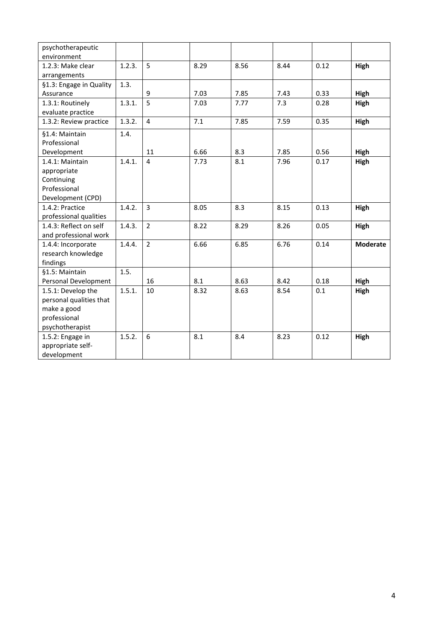| psychotherapeutic<br>environment |        |                |      |      |      |      |                 |
|----------------------------------|--------|----------------|------|------|------|------|-----------------|
| 1.2.3: Make clear                | 1.2.3. | 5              | 8.29 | 8.56 | 8.44 | 0.12 | High            |
| arrangements                     |        |                |      |      |      |      |                 |
| §1.3: Engage in Quality          | 1.3.   |                |      |      |      |      |                 |
| Assurance                        |        | 9              | 7.03 | 7.85 | 7.43 | 0.33 | High            |
| 1.3.1: Routinely                 | 1.3.1. | 5              | 7.03 | 7.77 | 7.3  | 0.28 | High            |
| evaluate practice                |        |                |      |      |      |      |                 |
| 1.3.2: Review practice           | 1.3.2. | $\overline{4}$ | 7.1  | 7.85 | 7.59 | 0.35 | High            |
| §1.4: Maintain                   | 1.4.   |                |      |      |      |      |                 |
| Professional                     |        |                |      |      |      |      |                 |
| Development                      |        | 11             | 6.66 | 8.3  | 7.85 | 0.56 | High            |
| 1.4.1: Maintain                  | 1.4.1. | 4              | 7.73 | 8.1  | 7.96 | 0.17 | High            |
| appropriate                      |        |                |      |      |      |      |                 |
| Continuing                       |        |                |      |      |      |      |                 |
| Professional                     |        |                |      |      |      |      |                 |
| Development (CPD)                |        |                |      |      |      |      |                 |
| 1.4.2: Practice                  | 1.4.2. | $\overline{3}$ | 8.05 | 8.3  | 8.15 | 0.13 | High            |
| professional qualities           |        |                |      |      |      |      |                 |
| 1.4.3: Reflect on self           | 1.4.3. | $\overline{2}$ | 8.22 | 8.29 | 8.26 | 0.05 | High            |
| and professional work            |        |                |      |      |      |      |                 |
| 1.4.4: Incorporate               | 1.4.4. | $\overline{2}$ | 6.66 | 6.85 | 6.76 | 0.14 | <b>Moderate</b> |
| research knowledge               |        |                |      |      |      |      |                 |
| findings                         |        |                |      |      |      |      |                 |
| §1.5: Maintain                   | 1.5.   |                |      |      |      |      |                 |
| Personal Development             |        | 16             | 8.1  | 8.63 | 8.42 | 0.18 | High            |
| 1.5.1: Develop the               | 1.5.1. | 10             | 8.32 | 8.63 | 8.54 | 0.1  | High            |
| personal qualities that          |        |                |      |      |      |      |                 |
| make a good                      |        |                |      |      |      |      |                 |
| professional                     |        |                |      |      |      |      |                 |
| psychotherapist                  |        |                |      |      |      |      |                 |
| 1.5.2: Engage in                 | 1.5.2. | 6              | 8.1  | 8.4  | 8.23 | 0.12 | High            |
| appropriate self-                |        |                |      |      |      |      |                 |
| development                      |        |                |      |      |      |      |                 |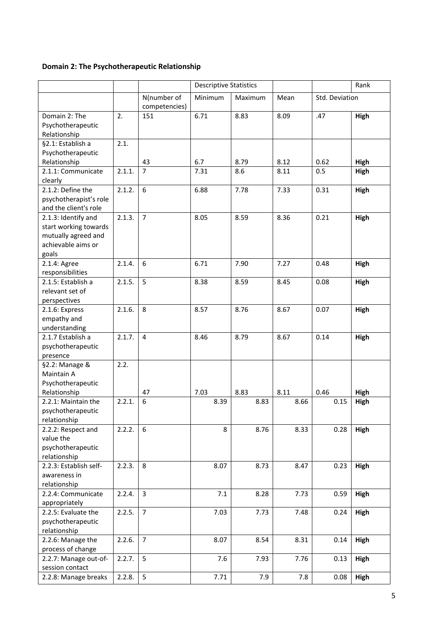## **Domain 2: The Psychotherapeutic Relationship**

|                        |        |                | <b>Descriptive Statistics</b> |         |      |                | Rank        |
|------------------------|--------|----------------|-------------------------------|---------|------|----------------|-------------|
|                        |        | N(number of    | Minimum                       | Maximum | Mean | Std. Deviation |             |
|                        |        | competencies)  |                               |         |      |                |             |
| Domain 2: The          | 2.     | 151            | 6.71                          | 8.83    | 8.09 | .47            | <b>High</b> |
| Psychotherapeutic      |        |                |                               |         |      |                |             |
| Relationship           |        |                |                               |         |      |                |             |
| §2.1: Establish a      | 2.1.   |                |                               |         |      |                |             |
| Psychotherapeutic      |        |                |                               |         |      |                |             |
| Relationship           |        | 43             | 6.7                           | 8.79    | 8.12 | 0.62           | High        |
| 2.1.1: Communicate     | 2.1.1. | $\overline{7}$ | 7.31                          | 8.6     | 8.11 | 0.5            | <b>High</b> |
| clearly                |        |                |                               |         |      |                |             |
| 2.1.2: Define the      | 2.1.2. | 6              | 6.88                          | 7.78    | 7.33 | 0.31           | High        |
| psychotherapist's role |        |                |                               |         |      |                |             |
| and the client's role  |        |                |                               |         |      |                |             |
| 2.1.3: Identify and    | 2.1.3. | $\overline{7}$ | 8.05                          | 8.59    | 8.36 | 0.21           | High        |
| start working towards  |        |                |                               |         |      |                |             |
| mutually agreed and    |        |                |                               |         |      |                |             |
| achievable aims or     |        |                |                               |         |      |                |             |
| goals                  |        |                |                               |         |      |                |             |
| 2.1.4: Agree           | 2.1.4. | 6              | 6.71                          | 7.90    | 7.27 | 0.48           | High        |
| responsibilities       |        |                |                               |         |      |                |             |
| 2.1.5: Establish a     | 2.1.5. | 5              | 8.38                          | 8.59    | 8.45 | 0.08           | High        |
| relevant set of        |        |                |                               |         |      |                |             |
| perspectives           |        |                |                               |         |      |                |             |
| 2.1.6: Express         | 2.1.6. | 8              | 8.57                          | 8.76    | 8.67 | 0.07           | High        |
| empathy and            |        |                |                               |         |      |                |             |
| understanding          |        |                |                               |         |      |                |             |
| 2.1.7 Establish a      | 2.1.7. | $\overline{4}$ | 8.46                          | 8.79    | 8.67 | 0.14           | <b>High</b> |
| psychotherapeutic      |        |                |                               |         |      |                |             |
| presence               |        |                |                               |         |      |                |             |
| §2.2: Manage &         | 2.2.   |                |                               |         |      |                |             |
| Maintain A             |        |                |                               |         |      |                |             |
| Psychotherapeutic      |        |                |                               |         |      |                |             |
| Relationship           |        | 47             | 7.03                          | 8.83    | 8.11 | 0.46           | High        |
| 2.2.1: Maintain the    | 2.2.1. | 6              | 8.39                          | 8.83    | 8.66 | 0.15           | High        |
| psychotherapeutic      |        |                |                               |         |      |                |             |
| relationship           |        |                |                               |         |      |                |             |
| 2.2.2: Respect and     | 2.2.2. | 6              | 8                             | 8.76    | 8.33 | 0.28           | High        |
| value the              |        |                |                               |         |      |                |             |
| psychotherapeutic      |        |                |                               |         |      |                |             |
| relationship           |        |                |                               |         |      |                |             |
| 2.2.3: Establish self- | 2.2.3. | 8              | 8.07                          | 8.73    | 8.47 | 0.23           | High        |
| awareness in           |        |                |                               |         |      |                |             |
| relationship           |        |                |                               |         |      |                |             |
| 2.2.4: Communicate     | 2.2.4. | $\overline{3}$ | 7.1                           | 8.28    | 7.73 | 0.59           | High        |
| appropriately          |        |                |                               |         |      |                |             |
| 2.2.5: Evaluate the    | 2.2.5. | $\overline{7}$ | 7.03                          | 7.73    | 7.48 | 0.24           | <b>High</b> |
| psychotherapeutic      |        |                |                               |         |      |                |             |
| relationship           |        |                |                               |         |      |                |             |
| 2.2.6: Manage the      | 2.2.6. | $\overline{7}$ | 8.07                          | 8.54    | 8.31 | 0.14           | High        |
| process of change      |        |                |                               |         |      |                |             |
| 2.2.7: Manage out-of-  | 2.2.7. | 5              | 7.6                           | 7.93    | 7.76 | 0.13           | High        |
| session contact        |        |                |                               |         |      |                |             |
| 2.2.8: Manage breaks   | 2.2.8. | 5              | 7.71                          | 7.9     | 7.8  | 0.08           | High        |
|                        |        |                |                               |         |      |                |             |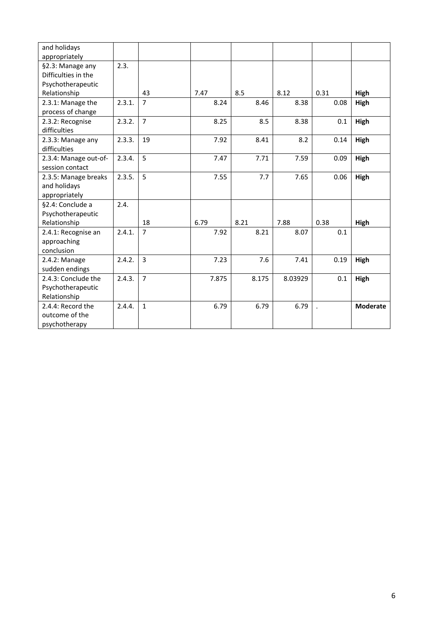| and holidays          |        |                |       |       |         |      |                 |
|-----------------------|--------|----------------|-------|-------|---------|------|-----------------|
| appropriately         |        |                |       |       |         |      |                 |
| §2.3: Manage any      | 2.3.   |                |       |       |         |      |                 |
| Difficulties in the   |        |                |       |       |         |      |                 |
| Psychotherapeutic     |        |                |       |       |         |      |                 |
| Relationship          |        | 43             | 7.47  | 8.5   | 8.12    | 0.31 | High            |
| 2.3.1: Manage the     | 2.3.1. | $\overline{7}$ | 8.24  | 8.46  | 8.38    | 0.08 | <b>High</b>     |
| process of change     |        |                |       |       |         |      |                 |
| 2.3.2: Recognise      | 2.3.2. | $\overline{7}$ | 8.25  | 8.5   | 8.38    | 0.1  | High            |
| difficulties          |        |                |       |       |         |      |                 |
| 2.3.3: Manage any     | 2.3.3. | 19             | 7.92  | 8.41  | 8.2     | 0.14 | High            |
| difficulties          |        |                |       |       |         |      |                 |
| 2.3.4: Manage out-of- | 2.3.4. | 5              | 7.47  | 7.71  | 7.59    | 0.09 | <b>High</b>     |
| session contact       |        |                |       |       |         |      |                 |
| 2.3.5: Manage breaks  | 2.3.5. | 5              | 7.55  | 7.7   | 7.65    | 0.06 | High            |
| and holidays          |        |                |       |       |         |      |                 |
| appropriately         |        |                |       |       |         |      |                 |
| §2.4: Conclude a      | 2.4.   |                |       |       |         |      |                 |
| Psychotherapeutic     |        |                |       |       |         |      |                 |
| Relationship          |        | 18             | 6.79  | 8.21  | 7.88    | 0.38 | High            |
| 2.4.1: Recognise an   | 2.4.1. | $\overline{7}$ | 7.92  | 8.21  | 8.07    | 0.1  |                 |
| approaching           |        |                |       |       |         |      |                 |
| conclusion            |        |                |       |       |         |      |                 |
| 2.4.2: Manage         | 2.4.2. | $\overline{3}$ | 7.23  | 7.6   | 7.41    | 0.19 | High            |
| sudden endings        |        |                |       |       |         |      |                 |
| 2.4.3: Conclude the   | 2.4.3. | $\overline{7}$ | 7.875 | 8.175 | 8.03929 | 0.1  | High            |
| Psychotherapeutic     |        |                |       |       |         |      |                 |
| Relationship          |        |                |       |       |         |      |                 |
| 2.4.4: Record the     | 2.4.4. | $\mathbf 1$    | 6.79  | 6.79  | 6.79    |      | <b>Moderate</b> |
| outcome of the        |        |                |       |       |         |      |                 |
| psychotherapy         |        |                |       |       |         |      |                 |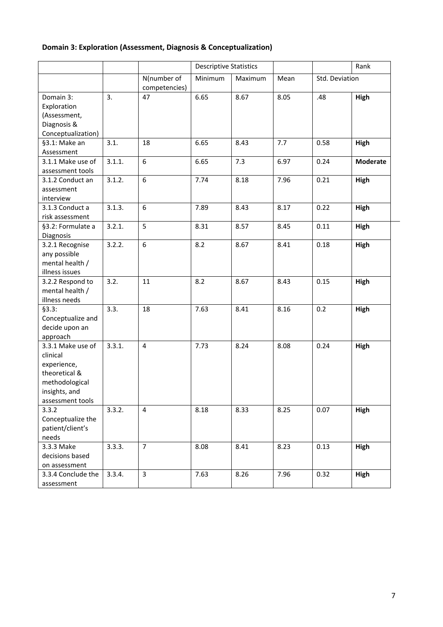## **Domain 3: Exploration (Assessment, Diagnosis & Conceptualization)**

|                                                                                                                      |        |                              | <b>Descriptive Statistics</b> |         |      |                | Rank            |
|----------------------------------------------------------------------------------------------------------------------|--------|------------------------------|-------------------------------|---------|------|----------------|-----------------|
|                                                                                                                      |        | N(number of<br>competencies) | Minimum                       | Maximum | Mean | Std. Deviation |                 |
| Domain 3:<br>Exploration<br>(Assessment,<br>Diagnosis &<br>Conceptualization)                                        | 3.     | 47                           | 6.65                          | 8.67    | 8.05 | .48            | High            |
| §3.1: Make an<br>Assessment                                                                                          | 3.1.   | 18                           | 6.65                          | 8.43    | 7.7  | 0.58           | High            |
| 3.1.1 Make use of<br>assessment tools                                                                                | 3.1.1. | 6                            | 6.65                          | 7.3     | 6.97 | 0.24           | <b>Moderate</b> |
| 3.1.2 Conduct an<br>assessment<br>interview                                                                          | 3.1.2. | 6                            | 7.74                          | 8.18    | 7.96 | 0.21           | High            |
| 3.1.3 Conduct a<br>risk assessment                                                                                   | 3.1.3. | $\boldsymbol{6}$             | 7.89                          | 8.43    | 8.17 | 0.22           | High            |
| §3.2: Formulate a<br>Diagnosis                                                                                       | 3.2.1. | 5                            | 8.31                          | 8.57    | 8.45 | 0.11           | High            |
| 3.2.1 Recognise<br>any possible<br>mental health /<br>illness issues                                                 | 3.2.2. | 6                            | 8.2                           | 8.67    | 8.41 | 0.18           | High            |
| 3.2.2 Respond to<br>mental health /<br>illness needs                                                                 | 3.2.   | 11                           | 8.2                           | 8.67    | 8.43 | 0.15           | High            |
| §3.3:<br>Conceptualize and<br>decide upon an<br>approach                                                             | 3.3.   | 18                           | 7.63                          | 8.41    | 8.16 | 0.2            | High            |
| 3.3.1 Make use of<br>clinical<br>experience,<br>theoretical &<br>methodological<br>insights, and<br>assessment tools | 3.3.1. | 4                            | 7.73                          | 8.24    | 8.08 | 0.24           | High            |
| 3.3.2<br>Conceptualize the<br>patient/client's<br>needs                                                              | 3.3.2. | $\overline{4}$               | 8.18                          | 8.33    | 8.25 | 0.07           | High            |
| 3.3.3 Make<br>decisions based<br>on assessment                                                                       | 3.3.3. | $\overline{7}$               | 8.08                          | 8.41    | 8.23 | 0.13           | High            |
| 3.3.4 Conclude the<br>assessment                                                                                     | 3.3.4. | $\overline{3}$               | 7.63                          | 8.26    | 7.96 | 0.32           | High            |

i,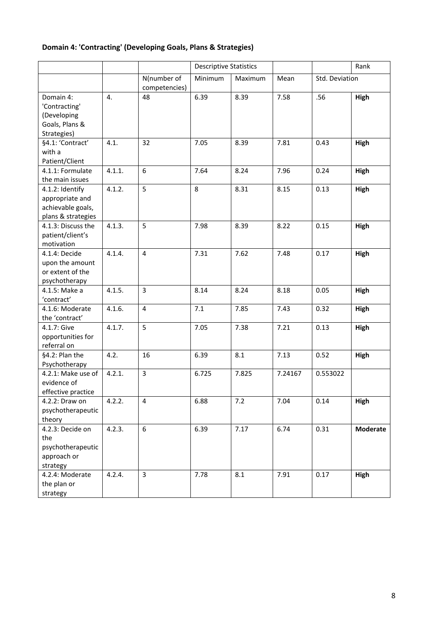## **Domain 4: 'Contracting' (Developing Goals, Plans & Strategies)**

|                                                                               |        |                              | <b>Descriptive Statistics</b> |         |         |                | Rank     |
|-------------------------------------------------------------------------------|--------|------------------------------|-------------------------------|---------|---------|----------------|----------|
|                                                                               |        | N(number of<br>competencies) | Minimum                       | Maximum | Mean    | Std. Deviation |          |
| Domain 4:<br>'Contracting'<br>(Developing<br>Goals, Plans &                   | 4.     | 48                           | 6.39                          | 8.39    | 7.58    | .56            | High     |
| Strategies)                                                                   |        |                              |                               |         |         |                |          |
| §4.1: 'Contract'<br>with a<br>Patient/Client                                  | 4.1.   | 32                           | 7.05                          | 8.39    | 7.81    | 0.43           | High     |
| 4.1.1: Formulate<br>the main issues                                           | 4.1.1. | 6                            | 7.64                          | 8.24    | 7.96    | 0.24           | High     |
| 4.1.2: Identify<br>appropriate and<br>achievable goals,<br>plans & strategies | 4.1.2. | 5                            | 8                             | 8.31    | 8.15    | 0.13           | High     |
| 4.1.3: Discuss the<br>patient/client's<br>motivation                          | 4.1.3. | 5                            | 7.98                          | 8.39    | 8.22    | 0.15           | High     |
| 4.1.4: Decide<br>upon the amount<br>or extent of the<br>psychotherapy         | 4.1.4. | $\overline{\mathbf{4}}$      | 7.31                          | 7.62    | 7.48    | 0.17           | High     |
| 4.1.5: Make a<br>'contract'                                                   | 4.1.5. | 3                            | 8.14                          | 8.24    | 8.18    | 0.05           | High     |
| 4.1.6: Moderate<br>the 'contract'                                             | 4.1.6. | $\overline{\mathbf{4}}$      | 7.1                           | 7.85    | 7.43    | 0.32           | High     |
| 4.1.7: Give<br>opportunities for<br>referral on                               | 4.1.7. | 5                            | 7.05                          | 7.38    | 7.21    | 0.13           | High     |
| §4.2: Plan the<br>Psychotherapy                                               | 4.2.   | 16                           | 6.39                          | 8.1     | 7.13    | 0.52           | High     |
| 4.2.1: Make use of<br>evidence of<br>effective practice                       | 4.2.1. | $\overline{3}$               | 6.725                         | 7.825   | 7.24167 | 0.553022       |          |
| 4.2.2: Draw on<br>psychotherapeutic<br>theory                                 | 4.2.2. | 4                            | 6.88                          | 7.2     | 7.04    | 0.14           | High     |
| 4.2.3: Decide on<br>the<br>psychotherapeutic<br>approach or<br>strategy       | 4.2.3. | 6                            | 6.39                          | 7.17    | 6.74    | 0.31           | Moderate |
| 4.2.4: Moderate<br>the plan or<br>strategy                                    | 4.2.4. | $\overline{\mathbf{3}}$      | 7.78                          | 8.1     | 7.91    | 0.17           | High     |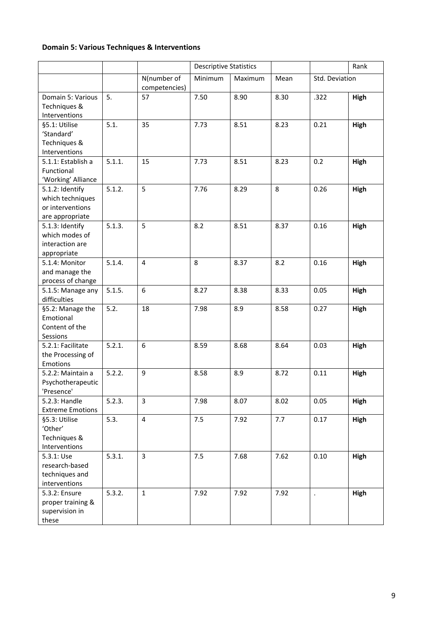## **Domain 5: Various Techniques & Interventions**

|                         |        |                              | <b>Descriptive Statistics</b> |         |      |                | Rank        |
|-------------------------|--------|------------------------------|-------------------------------|---------|------|----------------|-------------|
|                         |        | N(number of<br>competencies) | Minimum                       | Maximum | Mean | Std. Deviation |             |
| Domain 5: Various       | 5.     | 57                           | 7.50                          | 8.90    | 8.30 | .322           | <b>High</b> |
| Techniques &            |        |                              |                               |         |      |                |             |
| Interventions           |        |                              |                               |         |      |                |             |
| §5.1: Utilise           | 5.1.   | 35                           | 7.73                          | 8.51    | 8.23 | 0.21           | <b>High</b> |
| 'Standard'              |        |                              |                               |         |      |                |             |
| Techniques &            |        |                              |                               |         |      |                |             |
| Interventions           |        |                              |                               |         |      |                |             |
| 5.1.1: Establish a      | 5.1.1. | 15                           | 7.73                          | 8.51    | 8.23 | 0.2            | High        |
| Functional              |        |                              |                               |         |      |                |             |
| 'Working' Alliance      |        |                              |                               |         |      |                |             |
| 5.1.2: Identify         | 5.1.2. | 5                            | 7.76                          | 8.29    | 8    | 0.26           | High        |
| which techniques        |        |                              |                               |         |      |                |             |
| or interventions        |        |                              |                               |         |      |                |             |
| are appropriate         |        |                              |                               |         |      |                |             |
| 5.1.3: Identify         | 5.1.3. | 5                            | 8.2                           | 8.51    | 8.37 | 0.16           | High        |
| which modes of          |        |                              |                               |         |      |                |             |
| interaction are         |        |                              |                               |         |      |                |             |
| appropriate             |        |                              |                               |         |      |                |             |
| 5.1.4: Monitor          | 5.1.4. | $\overline{4}$               | 8                             | 8.37    | 8.2  | 0.16           | High        |
| and manage the          |        |                              |                               |         |      |                |             |
|                         |        |                              |                               |         |      |                |             |
| process of change       | 5.1.5. | 6                            | 8.27                          | 8.38    | 8.33 | 0.05           |             |
| 5.1.5: Manage any       |        |                              |                               |         |      |                | <b>High</b> |
| difficulties            |        |                              |                               |         |      |                |             |
| §5.2: Manage the        | 5.2.   | 18                           | 7.98                          | 8.9     | 8.58 | 0.27           | High        |
| Emotional               |        |                              |                               |         |      |                |             |
| Content of the          |        |                              |                               |         |      |                |             |
| Sessions                |        |                              |                               |         |      |                |             |
| 5.2.1: Facilitate       | 5.2.1. | 6                            | 8.59                          | 8.68    | 8.64 | 0.03           | High        |
| the Processing of       |        |                              |                               |         |      |                |             |
| Emotions                |        |                              |                               |         |      |                |             |
| 5.2.2: Maintain a       | 5.2.2. | 9                            | 8.58                          | 8.9     | 8.72 | 0.11           | High        |
| Psychotherapeutic       |        |                              |                               |         |      |                |             |
| 'Presence'              |        |                              |                               |         |      |                |             |
| 5.2.3: Handle           | 5.2.3. | 3                            | 7.98                          | 8.07    | 8.02 | 0.05           | <b>High</b> |
| <b>Extreme Emotions</b> |        |                              |                               |         |      |                |             |
| §5.3: Utilise           | 5.3.   | $\overline{4}$               | 7.5                           | 7.92    | 7.7  | 0.17           | High        |
| 'Other'                 |        |                              |                               |         |      |                |             |
| Techniques &            |        |                              |                               |         |      |                |             |
| Interventions           |        |                              |                               |         |      |                |             |
| 5.3.1: Use              | 5.3.1. | $\overline{3}$               | 7.5                           | 7.68    | 7.62 | 0.10           | High        |
| research-based          |        |                              |                               |         |      |                |             |
| techniques and          |        |                              |                               |         |      |                |             |
| interventions           |        |                              |                               |         |      |                |             |
| 5.3.2: Ensure           | 5.3.2. | $\mathbf{1}$                 | 7.92                          | 7.92    | 7.92 |                | High        |
| proper training &       |        |                              |                               |         |      |                |             |
| supervision in          |        |                              |                               |         |      |                |             |
| these                   |        |                              |                               |         |      |                |             |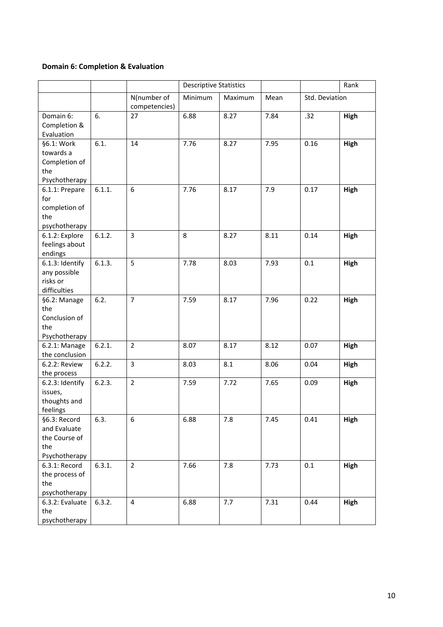### **Domain 6: Completion & Evaluation**

|                                                                       |        |                              | <b>Descriptive Statistics</b> |         |      |                | Rank |
|-----------------------------------------------------------------------|--------|------------------------------|-------------------------------|---------|------|----------------|------|
|                                                                       |        | N(number of<br>competencies) | Minimum                       | Maximum | Mean | Std. Deviation |      |
| Domain 6:<br>Completion &<br>Evaluation                               | 6.     | 27                           | 6.88                          | 8.27    | 7.84 | .32            | High |
| §6.1: Work<br>towards a<br>Completion of<br>the<br>Psychotherapy      | 6.1.   | 14                           | 7.76                          | 8.27    | 7.95 | 0.16           | High |
| 6.1.1: Prepare<br>for<br>completion of<br>the<br>psychotherapy        | 6.1.1. | 6                            | 7.76                          | 8.17    | 7.9  | 0.17           | High |
| 6.1.2: Explore<br>feelings about<br>endings                           | 6.1.2. | $\overline{3}$               | 8                             | 8.27    | 8.11 | 0.14           | High |
| 6.1.3: Identify<br>any possible<br>risks or<br>difficulties           | 6.1.3. | 5                            | 7.78                          | 8.03    | 7.93 | 0.1            | High |
| §6.2: Manage<br>the<br>Conclusion of<br>the<br>Psychotherapy          | 6.2.   | $\overline{7}$               | 7.59                          | 8.17    | 7.96 | 0.22           | High |
| 6.2.1: Manage<br>the conclusion                                       | 6.2.1. | $\overline{2}$               | 8.07                          | 8.17    | 8.12 | 0.07           | High |
| 6.2.2: Review<br>the process                                          | 6.2.2. | $\overline{3}$               | 8.03                          | 8.1     | 8.06 | 0.04           | High |
| 6.2.3: Identify<br>issues,<br>thoughts and<br>feelings                | 6.2.3. | $\overline{2}$               | 7.59                          | 7.72    | 7.65 | 0.09           | High |
| §6.3: Record<br>and Evaluate<br>the Course of<br>the<br>Psychotherapy | 6.3.   | 6                            | 6.88                          | 7.8     | 7.45 | 0.41           | High |
| 6.3.1: Record<br>the process of<br>the<br>psychotherapy               | 6.3.1. | $\overline{2}$               | 7.66                          | 7.8     | 7.73 | 0.1            | High |
| 6.3.2: Evaluate<br>the<br>psychotherapy                               | 6.3.2. | $\overline{\mathbf{4}}$      | 6.88                          | 7.7     | 7.31 | 0.44           | High |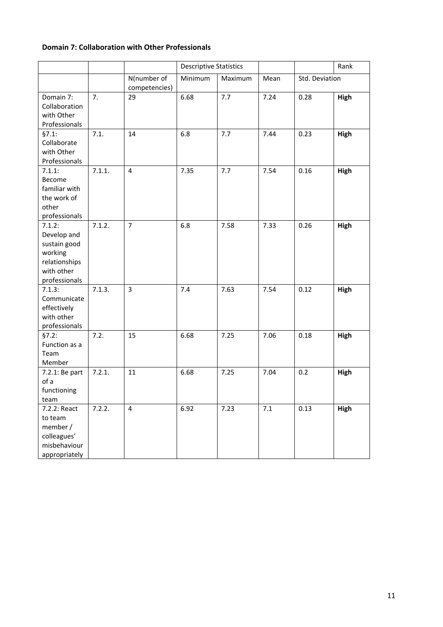#### **Domain 7: Collaboration with Other Professionals**

|                                                                                                  |        |                              | <b>Descriptive Statistics</b> |         |       |                | Rank |
|--------------------------------------------------------------------------------------------------|--------|------------------------------|-------------------------------|---------|-------|----------------|------|
|                                                                                                  |        | N(number of<br>competencies) | Minimum                       | Maximum | Mean  | Std. Deviation |      |
| Domain 7:<br>Collaboration<br>with Other<br>Professionals                                        | 7.     | 29                           | 6.68                          | 7.7     | 7.24  | 0.28           | High |
| §7.1:<br>Collaborate<br>with Other<br>Professionals                                              | 7.1.   | 14                           | 6.8                           | 7.7     | 7.44  | 0.23           | High |
| 7.1.1:<br>Become<br>familiar with<br>the work of<br>other<br>professionals                       | 7.1.1. | $\overline{4}$               | 7.35                          | 7.7     | 7.54  | 0.16           | High |
| 7.1.2:<br>Develop and<br>sustain good<br>working<br>relationships<br>with other<br>professionals | 7.1.2. | $\overline{7}$               | 6.8                           | 7.58    | 7.33  | 0.26           | High |
| 7.1.3:<br>Communicate<br>effectively<br>with other<br>professionals                              | 7.1.3. | $\overline{3}$               | 7.4                           | 7.63    | 7.54  | 0.12           | High |
| §7.2:<br>Function as a<br>Team<br>Member                                                         | 7.2.   | 15                           | 6.68                          | 7.25    | 7.06  | 0.18           | High |
| 7.2.1: Be part<br>of a<br>functioning<br>team                                                    | 7.2.1. | 11                           | 6.68                          | 7.25    | 7.04  | 0.2            | High |
| 7.2.2: React<br>to team<br>member /<br>colleagues'<br>misbehaviour<br>appropriately              | 7.2.2. | $\overline{4}$               | 6.92                          | 7.23    | $7.1$ | 0.13           | High |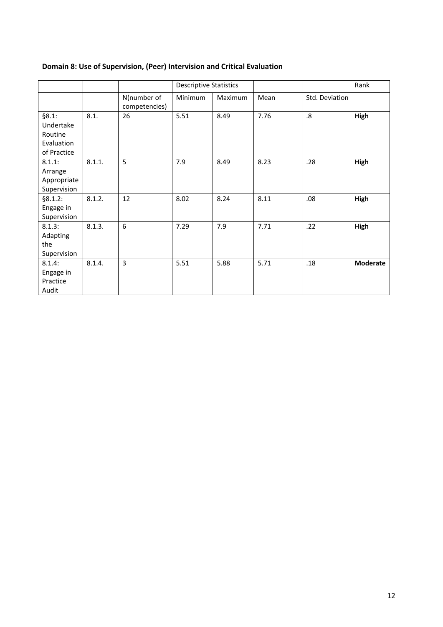|                                                            |        |                              | <b>Descriptive Statistics</b> |         |      |                   | Rank     |
|------------------------------------------------------------|--------|------------------------------|-------------------------------|---------|------|-------------------|----------|
|                                                            |        | N(number of<br>competencies) | Minimum                       | Maximum | Mean | Std. Deviation    |          |
| §8.1:<br>Undertake<br>Routine<br>Evaluation<br>of Practice | 8.1.   | 26                           | 5.51                          | 8.49    | 7.76 | $\boldsymbol{.8}$ | High     |
| 8.1.1:<br>Arrange<br>Appropriate<br>Supervision            | 8.1.1. | 5                            | 7.9                           | 8.49    | 8.23 | .28               | High     |
| §8.1.2:<br>Engage in<br>Supervision                        | 8.1.2. | 12                           | 8.02                          | 8.24    | 8.11 | .08               | High     |
| 8.1.3:<br>Adapting<br>the<br>Supervision                   | 8.1.3. | 6                            | 7.29                          | 7.9     | 7.71 | .22               | High     |
| 8.1.4:<br>Engage in<br>Practice<br>Audit                   | 8.1.4. | 3                            | 5.51                          | 5.88    | 5.71 | .18               | Moderate |

## **Domain 8: Use of Supervision, (Peer) Intervision and Critical Evaluation**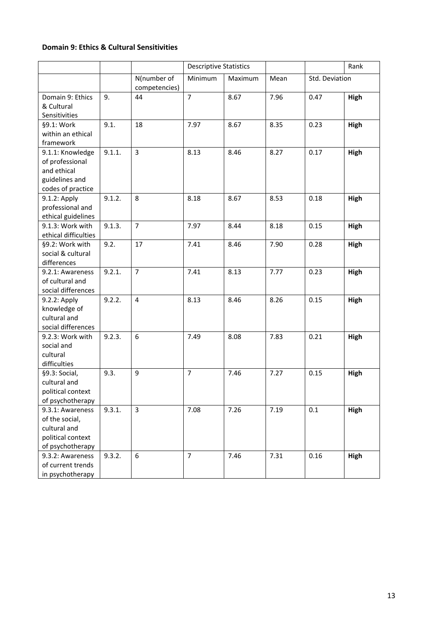#### **Domain 9: Ethics & Cultural Sensitivities**

|                                                                                             |        |                              | <b>Descriptive Statistics</b> |         |      |                | Rank        |
|---------------------------------------------------------------------------------------------|--------|------------------------------|-------------------------------|---------|------|----------------|-------------|
|                                                                                             |        | N(number of<br>competencies) | Minimum                       | Maximum | Mean | Std. Deviation |             |
| Domain 9: Ethics<br>& Cultural<br>Sensitivities                                             | 9.     | 44                           | $\overline{7}$                | 8.67    | 7.96 | 0.47           | High        |
| §9.1: Work<br>within an ethical<br>framework                                                | 9.1.   | 18                           | 7.97                          | 8.67    | 8.35 | 0.23           | High        |
| 9.1.1: Knowledge<br>of professional<br>and ethical<br>guidelines and<br>codes of practice   | 9.1.1. | 3                            | 8.13                          | 8.46    | 8.27 | 0.17           | High        |
| 9.1.2: Apply<br>professional and<br>ethical guidelines                                      | 9.1.2. | 8                            | 8.18                          | 8.67    | 8.53 | 0.18           | High        |
| 9.1.3: Work with<br>ethical difficulties                                                    | 9.1.3. | $\overline{7}$               | 7.97                          | 8.44    | 8.18 | 0.15           | High        |
| §9.2: Work with<br>social & cultural<br>differences                                         | 9.2.   | 17                           | 7.41                          | 8.46    | 7.90 | 0.28           | <b>High</b> |
| 9.2.1: Awareness<br>of cultural and<br>social differences                                   | 9.2.1. | $\overline{7}$               | 7.41                          | 8.13    | 7.77 | 0.23           | High        |
| 9.2.2: Apply<br>knowledge of<br>cultural and<br>social differences                          | 9.2.2. | $\overline{4}$               | 8.13                          | 8.46    | 8.26 | 0.15           | High        |
| 9.2.3: Work with<br>social and<br>cultural<br>difficulties                                  | 9.2.3. | 6                            | 7.49                          | 8.08    | 7.83 | 0.21           | High        |
| §9.3: Social,<br>cultural and<br>political context<br>of psychotherapy                      | 9.3.   | 9                            | $\overline{7}$                | 7.46    | 7.27 | 0.15           | High        |
| 9.3.1: Awareness<br>of the social,<br>cultural and<br>political context<br>of psychotherapy | 9.3.1. | $\overline{3}$               | 7.08                          | 7.26    | 7.19 | 0.1            | High        |
| 9.3.2: Awareness<br>of current trends<br>in psychotherapy                                   | 9.3.2. | 6                            | $\overline{7}$                | 7.46    | 7.31 | 0.16           | High        |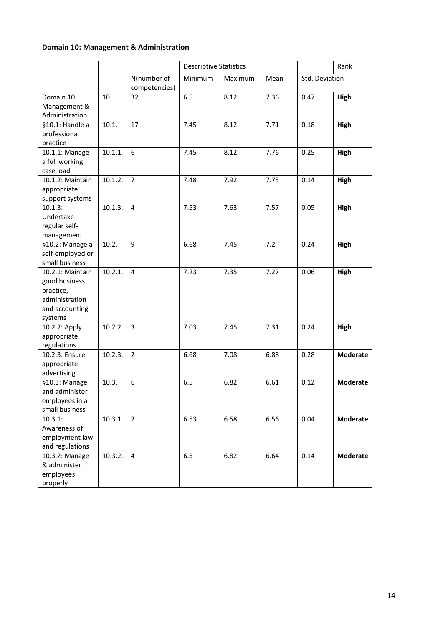## **Domain 10: Management & Administration**

|                                                                                               |         |                              | <b>Descriptive Statistics</b> |         |      |                | Rank            |
|-----------------------------------------------------------------------------------------------|---------|------------------------------|-------------------------------|---------|------|----------------|-----------------|
|                                                                                               |         |                              |                               |         |      |                |                 |
|                                                                                               |         | N(number of<br>competencies) | Minimum                       | Maximum | Mean | Std. Deviation |                 |
| Domain 10:<br>Management &<br>Administration                                                  | 10.     | 32                           | 6.5                           | 8.12    | 7.36 | 0.47           | High            |
| §10.1: Handle a<br>professional<br>practice                                                   | 10.1.   | 17                           | 7.45                          | 8.12    | 7.71 | 0.18           | High            |
| 10.1.1: Manage<br>a full working<br>case load                                                 | 10.1.1. | 6                            | 7.45                          | 8.12    | 7.76 | 0.25           | High            |
| 10.1.2: Maintain<br>appropriate<br>support systems                                            | 10.1.2. | $\overline{7}$               | 7.48                          | 7.92    | 7.75 | 0.14           | High            |
| $10.1.3$ :<br>Undertake<br>regular self-<br>management                                        | 10.1.3. | 4                            | 7.53                          | 7.63    | 7.57 | 0.05           | High            |
| §10.2: Manage a<br>self-employed or<br>small business                                         | 10.2.   | 9                            | 6.68                          | 7.45    | 7.2  | 0.24           | High            |
| 10.2.1: Maintain<br>good business<br>practice,<br>administration<br>and accounting<br>systems | 10.2.1. | $\overline{4}$               | 7.23                          | 7.35    | 7.27 | 0.06           | High            |
| 10.2.2: Apply<br>appropriate<br>regulations                                                   | 10.2.2. | 3                            | 7.03                          | 7.45    | 7.31 | 0.24           | High            |
| 10.2.3: Ensure<br>appropriate<br>advertising                                                  | 10.2.3. | $\overline{2}$               | 6.68                          | 7.08    | 6.88 | 0.28           | <b>Moderate</b> |
| §10.3: Manage<br>and administer<br>employees in a<br>small business                           | 10.3.   | 6                            | 6.5                           | 6.82    | 6.61 | 0.12           | <b>Moderate</b> |
| 10.3.1:<br>Awareness of<br>employment law<br>and regulations                                  | 10.3.1. | $\overline{2}$               | 6.53                          | 6.58    | 6.56 | 0.04           | <b>Moderate</b> |
| 10.3.2: Manage<br>& administer<br>employees<br>properly                                       | 10.3.2. | $\overline{4}$               | 6.5                           | 6.82    | 6.64 | 0.14           | <b>Moderate</b> |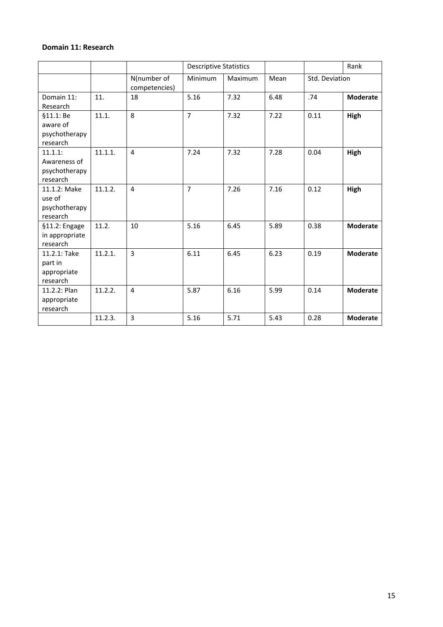#### **Domain 11: Research**

|                                                      |         |                              | <b>Descriptive Statistics</b> |         |      |                | Rank            |
|------------------------------------------------------|---------|------------------------------|-------------------------------|---------|------|----------------|-----------------|
|                                                      |         | N(number of<br>competencies) | Minimum                       | Maximum | Mean | Std. Deviation |                 |
| Domain 11:<br>Research                               | 11.     | 18                           | 5.16                          | 7.32    | 6.48 | .74            | <b>Moderate</b> |
| §11.1: Be<br>aware of<br>psychotherapy<br>research   | 11.1.   | 8                            | $\overline{7}$                | 7.32    | 7.22 | 0.11           | High            |
| 11.1.1:<br>Awareness of<br>psychotherapy<br>research | 11.1.1. | 4                            | 7.24                          | 7.32    | 7.28 | 0.04           | High            |
| 11.1.2: Make<br>use of<br>psychotherapy<br>research  | 11.1.2. | $\overline{4}$               | $\overline{7}$                | 7.26    | 7.16 | 0.12           | High            |
| §11.2: Engage<br>in appropriate<br>research          | 11.2.   | 10                           | 5.16                          | 6.45    | 5.89 | 0.38           | <b>Moderate</b> |
| 11.2.1: Take<br>part in<br>appropriate<br>research   | 11.2.1. | $\overline{3}$               | 6.11                          | 6.45    | 6.23 | 0.19           | <b>Moderate</b> |
| 11.2.2: Plan<br>appropriate<br>research              | 11.2.2. | 4                            | 5.87                          | 6.16    | 5.99 | 0.14           | <b>Moderate</b> |
|                                                      | 11.2.3. | 3                            | 5.16                          | 5.71    | 5.43 | 0.28           | <b>Moderate</b> |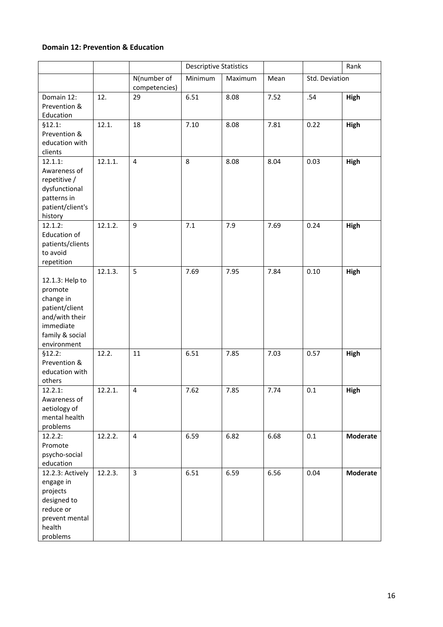#### **Domain 12: Prevention & Education**

|                                                                                                                            |         |                              | <b>Descriptive Statistics</b> |         | Rank |                |                 |
|----------------------------------------------------------------------------------------------------------------------------|---------|------------------------------|-------------------------------|---------|------|----------------|-----------------|
|                                                                                                                            |         | N(number of<br>competencies) | Minimum                       | Maximum | Mean | Std. Deviation |                 |
| Domain 12:<br>Prevention &<br>Education                                                                                    | 12.     | 29                           | 6.51                          | 8.08    | 7.52 | .54            | High            |
| \$12.1:<br>Prevention &<br>education with<br>clients                                                                       | 12.1.   | 18                           | 7.10                          | 8.08    | 7.81 | 0.22           | High            |
| 12.1.1:<br>Awareness of<br>repetitive /<br>dysfunctional<br>patterns in<br>patient/client's<br>history                     | 12.1.1. | 4                            | 8                             | 8.08    | 8.04 | 0.03           | High            |
| 12.1.2:<br><b>Education of</b><br>patients/clients<br>to avoid<br>repetition                                               | 12.1.2. | 9                            | 7.1                           | 7.9     | 7.69 | 0.24           | High            |
| 12.1.3: Help to<br>promote<br>change in<br>patient/client<br>and/with their<br>immediate<br>family & social<br>environment | 12.1.3. | 5                            | 7.69                          | 7.95    | 7.84 | 0.10           | High            |
| \$12.2:<br>Prevention &<br>education with<br>others                                                                        | 12.2.   | 11                           | 6.51                          | 7.85    | 7.03 | 0.57           | High            |
| 12.2.1:<br>Awareness of<br>aetiology of<br>mental health<br>problems                                                       | 12.2.1. | $\overline{4}$               | 7.62                          | 7.85    | 7.74 | 0.1            | High            |
| 12.2.2:<br>Promote<br>psycho-social<br>education                                                                           | 12.2.2. | 4                            | 6.59                          | 6.82    | 6.68 | 0.1            | <b>Moderate</b> |
| 12.2.3: Actively<br>engage in<br>projects<br>designed to<br>reduce or<br>prevent mental<br>health<br>problems              | 12.2.3. | 3                            | 6.51                          | 6.59    | 6.56 | 0.04           | <b>Moderate</b> |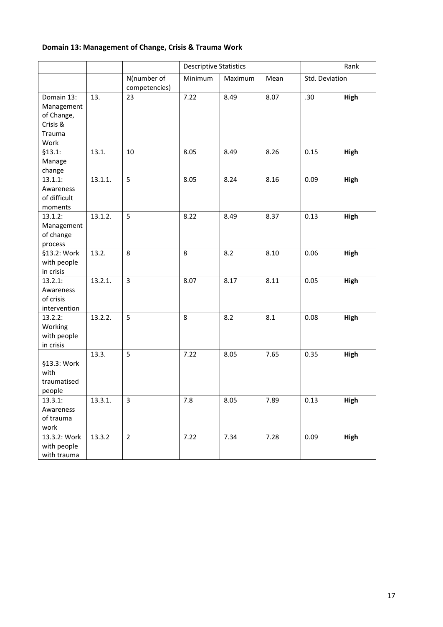## **Domain 13: Management of Change, Crisis & Trauma Work**

|                                                                      |         |                              | <b>Descriptive Statistics</b> |         |      | Rank           |      |
|----------------------------------------------------------------------|---------|------------------------------|-------------------------------|---------|------|----------------|------|
|                                                                      |         | N(number of<br>competencies) | Minimum                       | Maximum | Mean | Std. Deviation |      |
| Domain 13:<br>Management<br>of Change,<br>Crisis &<br>Trauma<br>Work | 13.     | 23                           | 7.22                          | 8.49    | 8.07 | .30            | High |
| \$13.1:<br>Manage<br>change                                          | 13.1.   | 10                           | 8.05                          | 8.49    | 8.26 | 0.15           | High |
| 13.1.1:<br>Awareness<br>of difficult<br>moments                      | 13.1.1. | 5                            | 8.05                          | 8.24    | 8.16 | 0.09           | High |
| 13.1.2:<br>Management<br>of change<br>process                        | 13.1.2. | 5                            | 8.22                          | 8.49    | 8.37 | 0.13           | High |
| §13.2: Work<br>with people<br>in crisis                              | 13.2.   | 8                            | 8                             | 8.2     | 8.10 | 0.06           | High |
| 13.2.1:<br>Awareness<br>of crisis<br>intervention                    | 13.2.1. | 3                            | 8.07                          | 8.17    | 8.11 | 0.05           | High |
| 13.2.2:<br>Working<br>with people<br>in crisis                       | 13.2.2. | 5                            | 8                             | 8.2     | 8.1  | 0.08           | High |
| §13.3: Work<br>with<br>traumatised<br>people                         | 13.3.   | 5                            | 7.22                          | 8.05    | 7.65 | 0.35           | High |
| 13.3.1:<br>Awareness<br>of trauma<br>work                            | 13.3.1. | 3                            | 7.8                           | 8.05    | 7.89 | 0.13           | High |
| 13.3.2: Work<br>with people<br>with trauma                           | 13.3.2  | $\overline{2}$               | 7.22                          | 7.34    | 7.28 | 0.09           | High |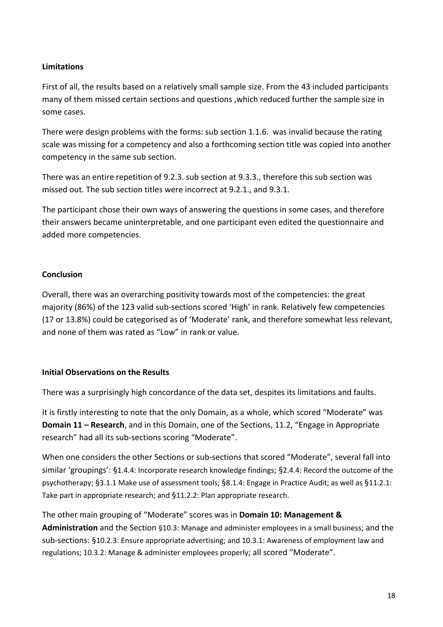#### **Limitations**

First of all, the results based on a relatively small sample size. From the 43 included participants many of them missed certain sections and questions ,which reduced further the sample size in some cases.

There were design problems with the forms: sub section 1.1.6. was invalid because the rating scale was missing for a competency and also a forthcoming section title was copied into another competency in the same sub section.

There was an entire repetition of 9.2.3. sub section at 9.3.3., therefore this sub section was missed out. The sub section titles were incorrect at 9.2.1., and 9.3.1.

The participant chose their own ways of answering the questions in some cases, and therefore their answers became uninterpretable, and one participant even edited the questionnaire and added more competencies.

#### **Conclusion**

Overall, there was an overarching positivity towards most of the competencies: the great majority (86%) of the 123 valid sub‐sections scored 'High' in rank. Relatively few competencies (17 or 13.8%) could be categorised as of 'Moderate' rank, and therefore somewhat less relevant, and none of them was rated as "Low" in rank or value.

#### **Initial Observations on the Results**

There was a surprisingly high concordance of the data set, despites its limitations and faults.

It is firstly interesting to note that the only Domain, as a whole, which scored "Moderate" was **Domain 11 – Research**, and in this Domain, one of the Sections, 11.2, "Engage in Appropriate research" had all its sub‐sections scoring "Moderate".

When one considers the other Sections or sub-sections that scored "Moderate", several fall into similar 'groupings': §1.4.4: Incorporate research knowledge findings; §2.4.4: Record the outcome of the psychotherapy; §3.1.1 Make use of assessment tools; §8.1.4: Engage in Practice Audit; as well as §11.2.1: Take part in appropriate research; and §11.2.2: Plan appropriate research.

The other main grouping of "Moderate" scores was in **Domain 10: Management & Administration** and the Section §10.3: Manage and administer employees in a small business; and the sub-sections: §10.2.3: Ensure appropriate advertising; and 10.3.1: Awareness of employment law and regulations; 10.3.2: Manage & administer employees properly; all scored "Moderate".